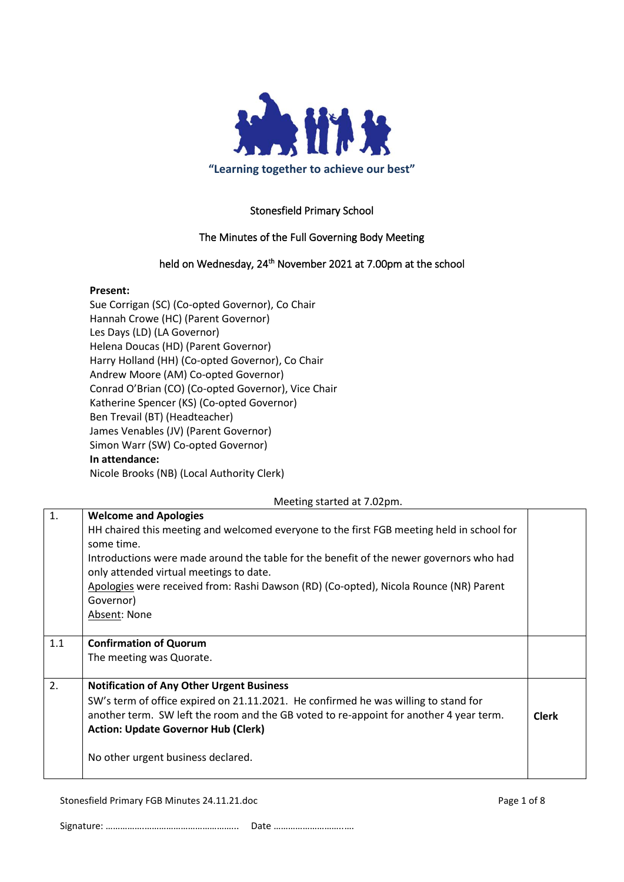

# Stonesfield Primary School

# The Minutes of the Full Governing Body Meeting

# held on Wednesday, 24<sup>th</sup> November 2021 at 7.00pm at the school

#### **Present:**

Sue Corrigan (SC) (Co-opted Governor), Co Chair Hannah Crowe (HC) (Parent Governor) Les Days (LD) (LA Governor) Helena Doucas (HD) (Parent Governor) Harry Holland (HH) (Co-opted Governor), Co Chair Andrew Moore (AM) Co-opted Governor) Conrad O'Brian (CO) (Co-opted Governor), Vice Chair Katherine Spencer (KS) (Co-opted Governor) Ben Trevail (BT) (Headteacher) James Venables (JV) (Parent Governor) Simon Warr (SW) Co-opted Governor) **In attendance:**

Nicole Brooks (NB) (Local Authority Clerk)

|     | Meeting started at 7.02pm.                                                                                                                                                                                                                                                                                                                                                                          |              |
|-----|-----------------------------------------------------------------------------------------------------------------------------------------------------------------------------------------------------------------------------------------------------------------------------------------------------------------------------------------------------------------------------------------------------|--------------|
| 1.  | <b>Welcome and Apologies</b><br>HH chaired this meeting and welcomed everyone to the first FGB meeting held in school for<br>some time.<br>Introductions were made around the table for the benefit of the newer governors who had<br>only attended virtual meetings to date.<br>Apologies were received from: Rashi Dawson (RD) (Co-opted), Nicola Rounce (NR) Parent<br>Governor)<br>Absent: None |              |
| 1.1 | <b>Confirmation of Quorum</b><br>The meeting was Quorate.                                                                                                                                                                                                                                                                                                                                           |              |
| 2.  | <b>Notification of Any Other Urgent Business</b><br>SW's term of office expired on 21.11.2021. He confirmed he was willing to stand for<br>another term. SW left the room and the GB voted to re-appoint for another 4 year term.<br><b>Action: Update Governor Hub (Clerk)</b><br>No other urgent business declared.                                                                               | <b>Clerk</b> |

Stonesfield Primary FGB Minutes 24.11.21.doc **Page 1 of 8** Page 1 of 8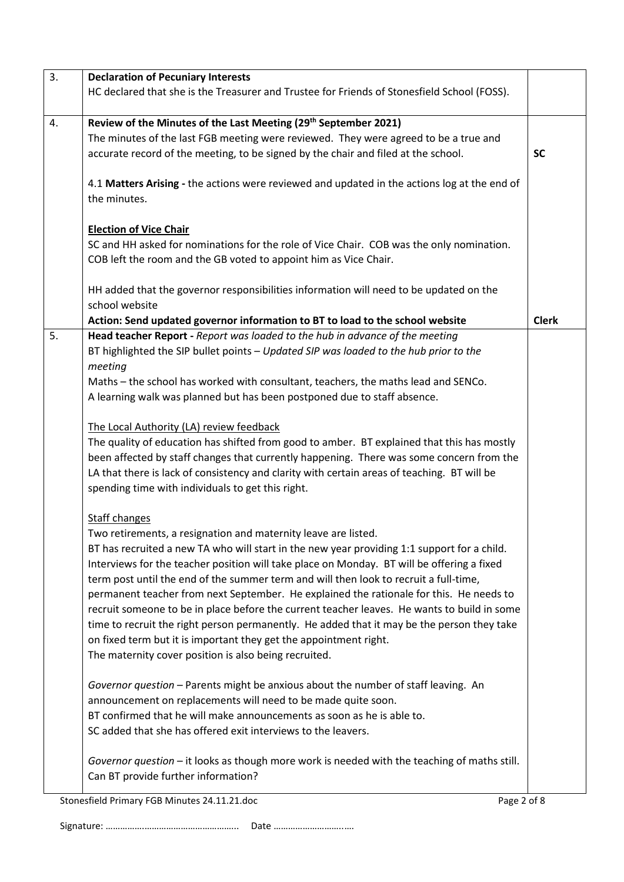| 3. | <b>Declaration of Pecuniary Interests</b>                                                                                                                                              |              |  |  |  |
|----|----------------------------------------------------------------------------------------------------------------------------------------------------------------------------------------|--------------|--|--|--|
|    | HC declared that she is the Treasurer and Trustee for Friends of Stonesfield School (FOSS).                                                                                            |              |  |  |  |
| 4. | Review of the Minutes of the Last Meeting (29 <sup>th</sup> September 2021)                                                                                                            |              |  |  |  |
|    | The minutes of the last FGB meeting were reviewed. They were agreed to be a true and                                                                                                   |              |  |  |  |
|    | accurate record of the meeting, to be signed by the chair and filed at the school.                                                                                                     | <b>SC</b>    |  |  |  |
|    |                                                                                                                                                                                        |              |  |  |  |
|    | 4.1 Matters Arising - the actions were reviewed and updated in the actions log at the end of                                                                                           |              |  |  |  |
|    | the minutes.                                                                                                                                                                           |              |  |  |  |
|    |                                                                                                                                                                                        |              |  |  |  |
|    | <b>Election of Vice Chair</b>                                                                                                                                                          |              |  |  |  |
|    | SC and HH asked for nominations for the role of Vice Chair. COB was the only nomination.                                                                                               |              |  |  |  |
|    | COB left the room and the GB voted to appoint him as Vice Chair.                                                                                                                       |              |  |  |  |
|    |                                                                                                                                                                                        |              |  |  |  |
|    | HH added that the governor responsibilities information will need to be updated on the                                                                                                 |              |  |  |  |
|    | school website                                                                                                                                                                         |              |  |  |  |
|    | Action: Send updated governor information to BT to load to the school website                                                                                                          | <b>Clerk</b> |  |  |  |
| 5. | Head teacher Report - Report was loaded to the hub in advance of the meeting                                                                                                           |              |  |  |  |
|    | BT highlighted the SIP bullet points - Updated SIP was loaded to the hub prior to the                                                                                                  |              |  |  |  |
|    | meeting                                                                                                                                                                                |              |  |  |  |
|    | Maths - the school has worked with consultant, teachers, the maths lead and SENCo.                                                                                                     |              |  |  |  |
|    | A learning walk was planned but has been postponed due to staff absence.                                                                                                               |              |  |  |  |
|    |                                                                                                                                                                                        |              |  |  |  |
|    | The Local Authority (LA) review feedback                                                                                                                                               |              |  |  |  |
|    | The quality of education has shifted from good to amber. BT explained that this has mostly                                                                                             |              |  |  |  |
|    | been affected by staff changes that currently happening. There was some concern from the                                                                                               |              |  |  |  |
|    | LA that there is lack of consistency and clarity with certain areas of teaching. BT will be                                                                                            |              |  |  |  |
|    | spending time with individuals to get this right.                                                                                                                                      |              |  |  |  |
|    |                                                                                                                                                                                        |              |  |  |  |
|    | <b>Staff changes</b>                                                                                                                                                                   |              |  |  |  |
|    | Two retirements, a resignation and maternity leave are listed.                                                                                                                         |              |  |  |  |
|    | BT has recruited a new TA who will start in the new year providing 1:1 support for a child.                                                                                            |              |  |  |  |
|    | Interviews for the teacher position will take place on Monday. BT will be offering a fixed                                                                                             |              |  |  |  |
|    | term post until the end of the summer term and will then look to recruit a full-time,                                                                                                  |              |  |  |  |
|    | permanent teacher from next September. He explained the rationale for this. He needs to<br>recruit someone to be in place before the current teacher leaves. He wants to build in some |              |  |  |  |
|    |                                                                                                                                                                                        |              |  |  |  |
|    | time to recruit the right person permanently. He added that it may be the person they take                                                                                             |              |  |  |  |
|    | on fixed term but it is important they get the appointment right.<br>The maternity cover position is also being recruited.                                                             |              |  |  |  |
|    |                                                                                                                                                                                        |              |  |  |  |
|    | Governor question - Parents might be anxious about the number of staff leaving. An                                                                                                     |              |  |  |  |
|    | announcement on replacements will need to be made quite soon.                                                                                                                          |              |  |  |  |
|    | BT confirmed that he will make announcements as soon as he is able to.                                                                                                                 |              |  |  |  |
|    | SC added that she has offered exit interviews to the leavers.                                                                                                                          |              |  |  |  |
|    |                                                                                                                                                                                        |              |  |  |  |
|    | Governor question – it looks as though more work is needed with the teaching of maths still.                                                                                           |              |  |  |  |
|    | Can BT provide further information?                                                                                                                                                    |              |  |  |  |
|    |                                                                                                                                                                                        |              |  |  |  |

Stonesfield Primary FGB Minutes 24.11.21.doc Page 2 of 8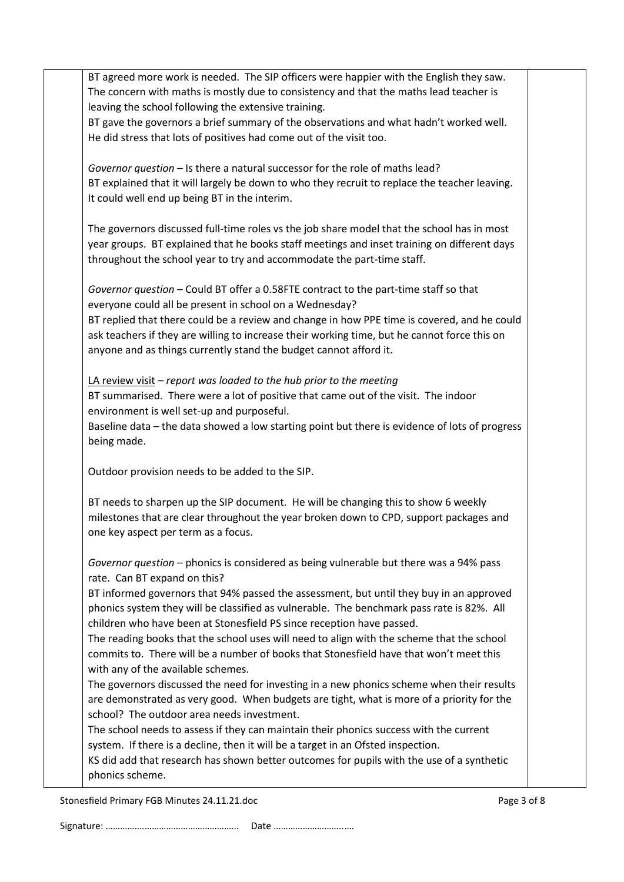BT agreed more work is needed. The SIP officers were happier with the English they saw. The concern with maths is mostly due to consistency and that the maths lead teacher is leaving the school following the extensive training. BT gave the governors a brief summary of the observations and what hadn't worked well. He did stress that lots of positives had come out of the visit too. *Governor question –* Is there a natural successor for the role of maths lead? BT explained that it will largely be down to who they recruit to replace the teacher leaving. It could well end up being BT in the interim. The governors discussed full-time roles vs the job share model that the school has in most year groups. BT explained that he books staff meetings and inset training on different days throughout the school year to try and accommodate the part-time staff. *Governor question* – Could BT offer a 0.58FTE contract to the part-time staff so that everyone could all be present in school on a Wednesday? BT replied that there could be a review and change in how PPE time is covered, and he could ask teachers if they are willing to increase their working time, but he cannot force this on anyone and as things currently stand the budget cannot afford it. LA review visit – *report was loaded to the hub prior to the meeting* BT summarised. There were a lot of positive that came out of the visit. The indoor environment is well set-up and purposeful. Baseline data – the data showed a low starting point but there is evidence of lots of progress being made. Outdoor provision needs to be added to the SIP. BT needs to sharpen up the SIP document. He will be changing this to show 6 weekly milestones that are clear throughout the year broken down to CPD, support packages and one key aspect per term as a focus. *Governor question* – phonics is considered as being vulnerable but there was a 94% pass rate. Can BT expand on this? BT informed governors that 94% passed the assessment, but until they buy in an approved phonics system they will be classified as vulnerable. The benchmark pass rate is 82%. All children who have been at Stonesfield PS since reception have passed. The reading books that the school uses will need to align with the scheme that the school commits to. There will be a number of books that Stonesfield have that won't meet this with any of the available schemes. The governors discussed the need for investing in a new phonics scheme when their results are demonstrated as very good. When budgets are tight, what is more of a priority for the school? The outdoor area needs investment. The school needs to assess if they can maintain their phonics success with the current system. If there is a decline, then it will be a target in an Ofsted inspection. KS did add that research has shown better outcomes for pupils with the use of a synthetic phonics scheme.

Stonesfield Primary FGB Minutes 24.11.21.doc **Page 3 of 8** and 2011 12:00 Page 3 of 8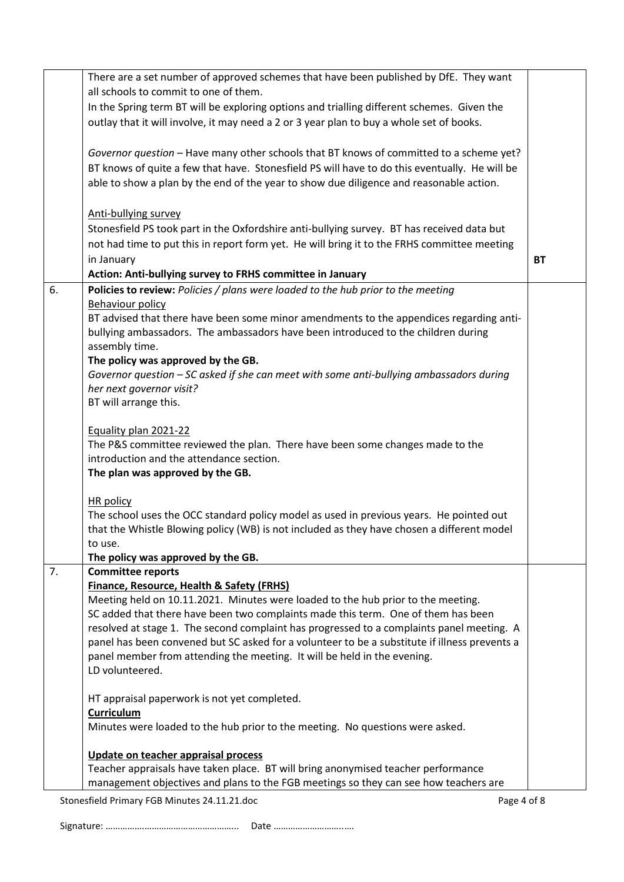|    | There are a set number of approved schemes that have been published by DfE. They want         |    |  |  |  |  |
|----|-----------------------------------------------------------------------------------------------|----|--|--|--|--|
|    | all schools to commit to one of them.                                                         |    |  |  |  |  |
|    | In the Spring term BT will be exploring options and trialling different schemes. Given the    |    |  |  |  |  |
|    | outlay that it will involve, it may need a 2 or 3 year plan to buy a whole set of books.      |    |  |  |  |  |
|    |                                                                                               |    |  |  |  |  |
|    | Governor question - Have many other schools that BT knows of committed to a scheme yet?       |    |  |  |  |  |
|    | BT knows of quite a few that have. Stonesfield PS will have to do this eventually. He will be |    |  |  |  |  |
|    | able to show a plan by the end of the year to show due diligence and reasonable action.       |    |  |  |  |  |
|    |                                                                                               |    |  |  |  |  |
|    | Anti-bullying survey                                                                          |    |  |  |  |  |
|    | Stonesfield PS took part in the Oxfordshire anti-bullying survey. BT has received data but    |    |  |  |  |  |
|    | not had time to put this in report form yet. He will bring it to the FRHS committee meeting   |    |  |  |  |  |
|    | in January                                                                                    | BT |  |  |  |  |
|    | Action: Anti-bullying survey to FRHS committee in January                                     |    |  |  |  |  |
| 6. | Policies to review: Policies / plans were loaded to the hub prior to the meeting              |    |  |  |  |  |
|    | <b>Behaviour policy</b>                                                                       |    |  |  |  |  |
|    | BT advised that there have been some minor amendments to the appendices regarding anti-       |    |  |  |  |  |
|    | bullying ambassadors. The ambassadors have been introduced to the children during             |    |  |  |  |  |
|    | assembly time.                                                                                |    |  |  |  |  |
|    | The policy was approved by the GB.                                                            |    |  |  |  |  |
|    | Governor question - SC asked if she can meet with some anti-bullying ambassadors during       |    |  |  |  |  |
|    | her next governor visit?                                                                      |    |  |  |  |  |
|    | BT will arrange this.                                                                         |    |  |  |  |  |
|    |                                                                                               |    |  |  |  |  |
|    | Equality plan 2021-22                                                                         |    |  |  |  |  |
|    | The P&S committee reviewed the plan. There have been some changes made to the                 |    |  |  |  |  |
|    | introduction and the attendance section.                                                      |    |  |  |  |  |
|    | The plan was approved by the GB.                                                              |    |  |  |  |  |
|    |                                                                                               |    |  |  |  |  |
|    | HR policy                                                                                     |    |  |  |  |  |
|    | The school uses the OCC standard policy model as used in previous years. He pointed out       |    |  |  |  |  |
|    | that the Whistle Blowing policy (WB) is not included as they have chosen a different model    |    |  |  |  |  |
|    | to use.                                                                                       |    |  |  |  |  |
|    | The policy was approved by the GB.                                                            |    |  |  |  |  |
| 7. | <b>Committee reports</b>                                                                      |    |  |  |  |  |
|    | <b>Finance, Resource, Health &amp; Safety (FRHS)</b>                                          |    |  |  |  |  |
|    | Meeting held on 10.11.2021. Minutes were loaded to the hub prior to the meeting.              |    |  |  |  |  |
|    | SC added that there have been two complaints made this term. One of them has been             |    |  |  |  |  |
|    | resolved at stage 1. The second complaint has progressed to a complaints panel meeting. A     |    |  |  |  |  |
|    | panel has been convened but SC asked for a volunteer to be a substitute if illness prevents a |    |  |  |  |  |
|    | panel member from attending the meeting. It will be held in the evening.                      |    |  |  |  |  |
|    | LD volunteered.                                                                               |    |  |  |  |  |
|    |                                                                                               |    |  |  |  |  |
|    | HT appraisal paperwork is not yet completed.<br>Curriculum                                    |    |  |  |  |  |
|    |                                                                                               |    |  |  |  |  |
|    | Minutes were loaded to the hub prior to the meeting. No questions were asked.                 |    |  |  |  |  |
|    | Update on teacher appraisal process                                                           |    |  |  |  |  |
|    | Teacher appraisals have taken place. BT will bring anonymised teacher performance             |    |  |  |  |  |
|    | management objectives and plans to the FGB meetings so they can see how teachers are          |    |  |  |  |  |
|    |                                                                                               |    |  |  |  |  |
|    | Stonesfield Primary FGB Minutes 24.11.21.doc<br>Page 4 of 8                                   |    |  |  |  |  |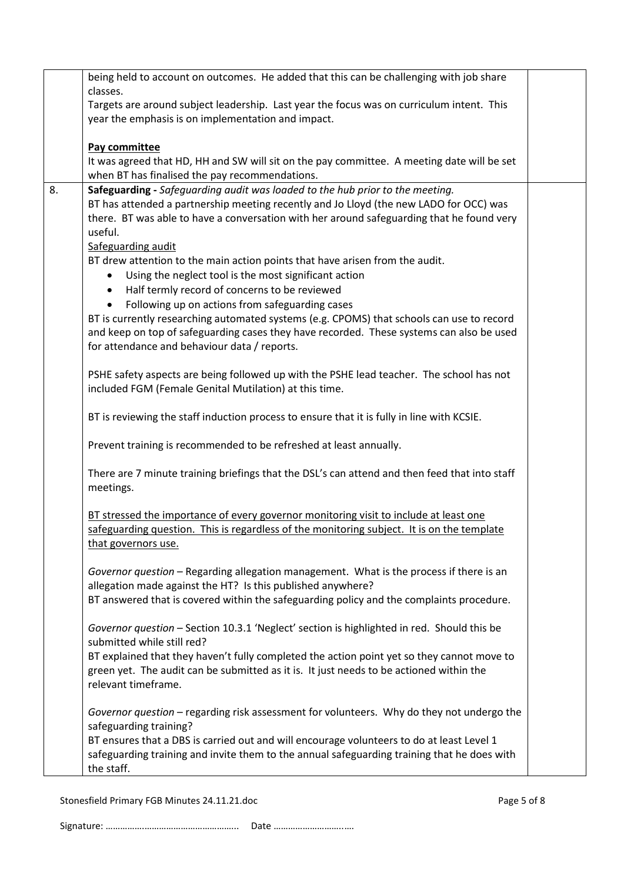| being held to account on outcomes. He added that this can be challenging with job share                                                                                               |  |  |  |  |  |
|---------------------------------------------------------------------------------------------------------------------------------------------------------------------------------------|--|--|--|--|--|
| classes.                                                                                                                                                                              |  |  |  |  |  |
| Targets are around subject leadership. Last year the focus was on curriculum intent. This<br>year the emphasis is on implementation and impact.                                       |  |  |  |  |  |
|                                                                                                                                                                                       |  |  |  |  |  |
| Pay committee                                                                                                                                                                         |  |  |  |  |  |
| It was agreed that HD, HH and SW will sit on the pay committee. A meeting date will be set                                                                                            |  |  |  |  |  |
| when BT has finalised the pay recommendations.                                                                                                                                        |  |  |  |  |  |
| 8.<br>Safeguarding - Safeguarding audit was loaded to the hub prior to the meeting.                                                                                                   |  |  |  |  |  |
| BT has attended a partnership meeting recently and Jo Lloyd (the new LADO for OCC) was                                                                                                |  |  |  |  |  |
| there. BT was able to have a conversation with her around safeguarding that he found very                                                                                             |  |  |  |  |  |
| useful.                                                                                                                                                                               |  |  |  |  |  |
| Safeguarding audit                                                                                                                                                                    |  |  |  |  |  |
| BT drew attention to the main action points that have arisen from the audit.                                                                                                          |  |  |  |  |  |
| Using the neglect tool is the most significant action<br>$\bullet$                                                                                                                    |  |  |  |  |  |
| Half termly record of concerns to be reviewed<br>$\bullet$                                                                                                                            |  |  |  |  |  |
| Following up on actions from safeguarding cases<br>$\bullet$                                                                                                                          |  |  |  |  |  |
| BT is currently researching automated systems (e.g. CPOMS) that schools can use to record<br>and keep on top of safeguarding cases they have recorded. These systems can also be used |  |  |  |  |  |
| for attendance and behaviour data / reports.                                                                                                                                          |  |  |  |  |  |
|                                                                                                                                                                                       |  |  |  |  |  |
| PSHE safety aspects are being followed up with the PSHE lead teacher. The school has not                                                                                              |  |  |  |  |  |
| included FGM (Female Genital Mutilation) at this time.                                                                                                                                |  |  |  |  |  |
|                                                                                                                                                                                       |  |  |  |  |  |
| BT is reviewing the staff induction process to ensure that it is fully in line with KCSIE.                                                                                            |  |  |  |  |  |
|                                                                                                                                                                                       |  |  |  |  |  |
| Prevent training is recommended to be refreshed at least annually.                                                                                                                    |  |  |  |  |  |
| There are 7 minute training briefings that the DSL's can attend and then feed that into staff                                                                                         |  |  |  |  |  |
| meetings.                                                                                                                                                                             |  |  |  |  |  |
|                                                                                                                                                                                       |  |  |  |  |  |
| BT stressed the importance of every governor monitoring visit to include at least one                                                                                                 |  |  |  |  |  |
| safeguarding question. This is regardless of the monitoring subject. It is on the template                                                                                            |  |  |  |  |  |
| that governors use.                                                                                                                                                                   |  |  |  |  |  |
|                                                                                                                                                                                       |  |  |  |  |  |
| Governor question - Regarding allegation management. What is the process if there is an                                                                                               |  |  |  |  |  |
| allegation made against the HT? Is this published anywhere?                                                                                                                           |  |  |  |  |  |
| BT answered that is covered within the safeguarding policy and the complaints procedure.                                                                                              |  |  |  |  |  |
| Governor question - Section 10.3.1 'Neglect' section is highlighted in red. Should this be                                                                                            |  |  |  |  |  |
| submitted while still red?                                                                                                                                                            |  |  |  |  |  |
| BT explained that they haven't fully completed the action point yet so they cannot move to                                                                                            |  |  |  |  |  |
| green yet. The audit can be submitted as it is. It just needs to be actioned within the                                                                                               |  |  |  |  |  |
| relevant timeframe.                                                                                                                                                                   |  |  |  |  |  |
|                                                                                                                                                                                       |  |  |  |  |  |
| Governor question - regarding risk assessment for volunteers. Why do they not undergo the                                                                                             |  |  |  |  |  |
| safeguarding training?                                                                                                                                                                |  |  |  |  |  |
| BT ensures that a DBS is carried out and will encourage volunteers to do at least Level 1                                                                                             |  |  |  |  |  |
| safeguarding training and invite them to the annual safeguarding training that he does with                                                                                           |  |  |  |  |  |
| the staff.                                                                                                                                                                            |  |  |  |  |  |

Stonesfield Primary FGB Minutes 24.11.21.doc example 3 and 20 years of 8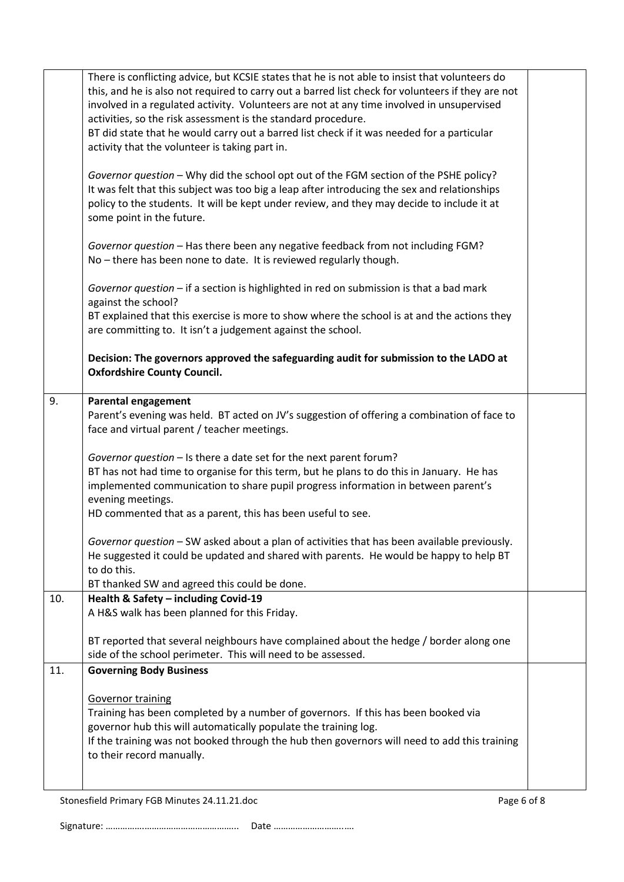|     | There is conflicting advice, but KCSIE states that he is not able to insist that volunteers do                 |  |  |  |  |  |
|-----|----------------------------------------------------------------------------------------------------------------|--|--|--|--|--|
|     | this, and he is also not required to carry out a barred list check for volunteers if they are not              |  |  |  |  |  |
|     | involved in a regulated activity. Volunteers are not at any time involved in unsupervised                      |  |  |  |  |  |
|     | activities, so the risk assessment is the standard procedure.                                                  |  |  |  |  |  |
|     | BT did state that he would carry out a barred list check if it was needed for a particular                     |  |  |  |  |  |
|     | activity that the volunteer is taking part in.                                                                 |  |  |  |  |  |
|     | Governor question - Why did the school opt out of the FGM section of the PSHE policy?                          |  |  |  |  |  |
|     | It was felt that this subject was too big a leap after introducing the sex and relationships                   |  |  |  |  |  |
|     | policy to the students. It will be kept under review, and they may decide to include it at                     |  |  |  |  |  |
|     | some point in the future.                                                                                      |  |  |  |  |  |
|     |                                                                                                                |  |  |  |  |  |
|     | Governor question - Has there been any negative feedback from not including FGM?                               |  |  |  |  |  |
|     | No - there has been none to date. It is reviewed regularly though.                                             |  |  |  |  |  |
|     |                                                                                                                |  |  |  |  |  |
|     | Governor question - if a section is highlighted in red on submission is that a bad mark<br>against the school? |  |  |  |  |  |
|     | BT explained that this exercise is more to show where the school is at and the actions they                    |  |  |  |  |  |
|     | are committing to. It isn't a judgement against the school.                                                    |  |  |  |  |  |
|     |                                                                                                                |  |  |  |  |  |
|     | Decision: The governors approved the safeguarding audit for submission to the LADO at                          |  |  |  |  |  |
|     | <b>Oxfordshire County Council.</b>                                                                             |  |  |  |  |  |
|     |                                                                                                                |  |  |  |  |  |
| 9.  | <b>Parental engagement</b>                                                                                     |  |  |  |  |  |
|     | Parent's evening was held. BT acted on JV's suggestion of offering a combination of face to                    |  |  |  |  |  |
|     | face and virtual parent / teacher meetings.                                                                    |  |  |  |  |  |
|     | Governor question - Is there a date set for the next parent forum?                                             |  |  |  |  |  |
|     | BT has not had time to organise for this term, but he plans to do this in January. He has                      |  |  |  |  |  |
|     | implemented communication to share pupil progress information in between parent's                              |  |  |  |  |  |
|     | evening meetings.                                                                                              |  |  |  |  |  |
|     | HD commented that as a parent, this has been useful to see.                                                    |  |  |  |  |  |
|     |                                                                                                                |  |  |  |  |  |
|     | Governor question - SW asked about a plan of activities that has been available previously.                    |  |  |  |  |  |
|     | He suggested it could be updated and shared with parents. He would be happy to help BT                         |  |  |  |  |  |
|     | to do this.                                                                                                    |  |  |  |  |  |
|     | BT thanked SW and agreed this could be done.                                                                   |  |  |  |  |  |
| 10. | Health & Safety - including Covid-19<br>A H&S walk has been planned for this Friday.                           |  |  |  |  |  |
|     |                                                                                                                |  |  |  |  |  |
|     | BT reported that several neighbours have complained about the hedge / border along one                         |  |  |  |  |  |
|     | side of the school perimeter. This will need to be assessed.                                                   |  |  |  |  |  |
| 11. | <b>Governing Body Business</b>                                                                                 |  |  |  |  |  |
|     |                                                                                                                |  |  |  |  |  |
|     | <b>Governor training</b>                                                                                       |  |  |  |  |  |
|     | Training has been completed by a number of governors. If this has been booked via                              |  |  |  |  |  |
|     | governor hub this will automatically populate the training log.                                                |  |  |  |  |  |
|     | If the training was not booked through the hub then governors will need to add this training                   |  |  |  |  |  |
|     | to their record manually.                                                                                      |  |  |  |  |  |
|     |                                                                                                                |  |  |  |  |  |
|     |                                                                                                                |  |  |  |  |  |

Stonesfield Primary FGB Minutes 24.11.21.doc example 20 and 20 and 20 and 20 and 20 and 20 and 20 and 20 and 20 and 20 and 20 and 20 and 20 and 20 and 20 and 20 and 20 and 20 and 20 and 20 and 20 and 20 and 20 and 20 and 2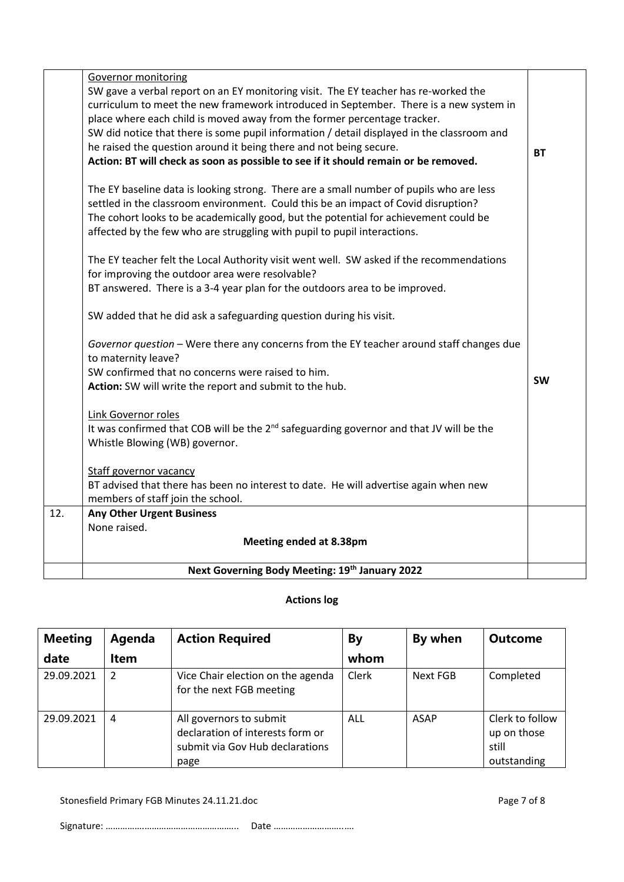| 12. | <b>Any Other Urgent Business</b><br>None raised.                                                                                                                                                                                                                                                                                                  |           |
|-----|---------------------------------------------------------------------------------------------------------------------------------------------------------------------------------------------------------------------------------------------------------------------------------------------------------------------------------------------------|-----------|
|     | BT advised that there has been no interest to date. He will advertise again when new<br>members of staff join the school.                                                                                                                                                                                                                         |           |
|     | <b>Staff governor vacancy</b>                                                                                                                                                                                                                                                                                                                     |           |
|     | Link Governor roles<br>It was confirmed that COB will be the 2 <sup>nd</sup> safeguarding governor and that JV will be the<br>Whistle Blowing (WB) governor.                                                                                                                                                                                      |           |
|     | SW confirmed that no concerns were raised to him.<br>Action: SW will write the report and submit to the hub.                                                                                                                                                                                                                                      | <b>SW</b> |
|     | Governor question - Were there any concerns from the EY teacher around staff changes due<br>to maternity leave?                                                                                                                                                                                                                                   |           |
|     | SW added that he did ask a safeguarding question during his visit.                                                                                                                                                                                                                                                                                |           |
|     | for improving the outdoor area were resolvable?<br>BT answered. There is a 3-4 year plan for the outdoors area to be improved.                                                                                                                                                                                                                    |           |
|     | The EY teacher felt the Local Authority visit went well. SW asked if the recommendations                                                                                                                                                                                                                                                          |           |
|     | The EY baseline data is looking strong. There are a small number of pupils who are less<br>settled in the classroom environment. Could this be an impact of Covid disruption?<br>The cohort looks to be academically good, but the potential for achievement could be<br>affected by the few who are struggling with pupil to pupil interactions. |           |
|     | place where each child is moved away from the former percentage tracker.<br>SW did notice that there is some pupil information / detail displayed in the classroom and<br>he raised the question around it being there and not being secure.<br>Action: BT will check as soon as possible to see if it should remain or be removed.               | <b>BT</b> |
|     | Governor monitoring<br>SW gave a verbal report on an EY monitoring visit. The EY teacher has re-worked the<br>curriculum to meet the new framework introduced in September. There is a new system in                                                                                                                                              |           |

# **Actions log**

| <b>Meeting</b> | Agenda | <b>Action Required</b>                                                                                 | By    | By when     | <b>Outcome</b>                                         |
|----------------|--------|--------------------------------------------------------------------------------------------------------|-------|-------------|--------------------------------------------------------|
| date           | Item   |                                                                                                        | whom  |             |                                                        |
| 29.09.2021     | 2      | Vice Chair election on the agenda<br>for the next FGB meeting                                          | Clerk | Next FGB    | Completed                                              |
| 29.09.2021     | 4      | All governors to submit<br>declaration of interests form or<br>submit via Gov Hub declarations<br>page | ALL   | <b>ASAP</b> | Clerk to follow<br>up on those<br>still<br>outstanding |

Stonesfield Primary FGB Minutes 24.11.21.doc Page 7 of 8